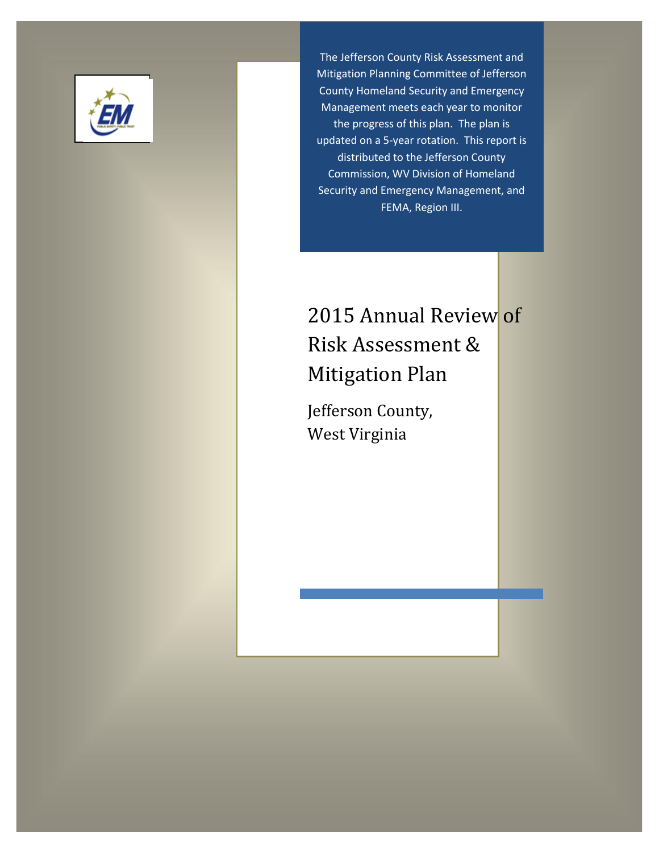

The Jefferson County Risk Assessment and Mitigation Planning Committee of Jefferson County Homeland Security and Emergency Management meets each year to monitor the progress of this plan. The plan is updated on a 5-year rotation. This report is distributed to the Jefferson County Commission, WV Division of Homeland Security and Emergency Management, and FEMA, Region III.

# 2015 Annual Review of Risk Assessment & Mitigation Plan

Jefferson County, West Virginia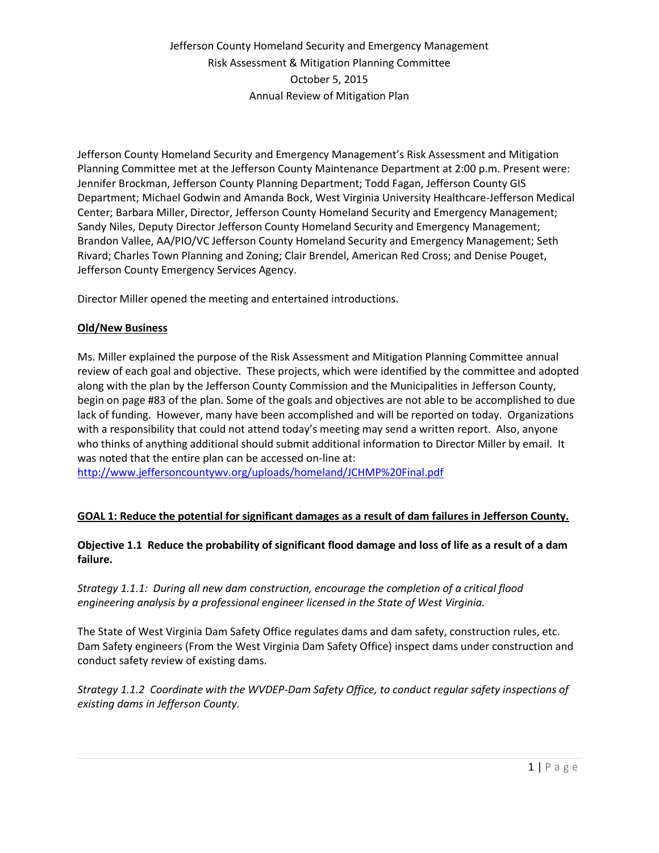Jefferson County Homeland Security and Emergency Management's Risk Assessment and Mitigation Planning Committee met at the Jefferson County Maintenance Department at 2:00 p.m. Present were: Jennifer Brockman, Jefferson County Planning Department; Todd Fagan, Jefferson County GIS Department; Michael Godwin and Amanda Bock, West Virginia University Healthcare-Jefferson Medical Center; Barbara Miller, Director, Jefferson County Homeland Security and Emergency Management; Sandy Niles, Deputy Director Jefferson County Homeland Security and Emergency Management; Brandon Vallee, AA/PIO/VC Jefferson County Homeland Security and Emergency Management; Seth Rivard; Charles Town Planning and Zoning; Clair Brendel, American Red Cross; and Denise Pouget, Jefferson County Emergency Services Agency.

Director Miller opened the meeting and entertained introductions.

#### **Old/New Business**

Ms. Miller explained the purpose of the Risk Assessment and Mitigation Planning Committee annual review of each goal and objective. These projects, which were identified by the committee and adopted along with the plan by the Jefferson County Commission and the Municipalities in Jefferson County, begin on page #83 of the plan. Some of the goals and objectives are not able to be accomplished to due lack of funding. However, many have been accomplished and will be reported on today. Organizations with a responsibility that could not attend today's meeting may send a written report. Also, anyone who thinks of anything additional should submit additional information to Director Miller by email. It was noted that the entire plan can be accessed on-line at:

<http://www.jeffersoncountywv.org/uploads/homeland/JCHMP%20Final.pdf>

### **GOAL 1: Reduce the potential for significant damages as a result of dam failures in Jefferson County.**

**Objective 1.1 Reduce the probability of significant flood damage and loss of life as a result of a dam failure.**

*Strategy 1.1.1: During all new dam construction, encourage the completion of a critical flood engineering analysis by a professional engineer licensed in the State of West Virginia.*

The State of West Virginia Dam Safety Office regulates dams and dam safety, construction rules, etc. Dam Safety engineers (From the West Virginia Dam Safety Office) inspect dams under construction and conduct safety review of existing dams.

*Strategy 1.1.2 Coordinate with the WVDEP-Dam Safety Office, to conduct regular safety inspections of existing dams in Jefferson County.*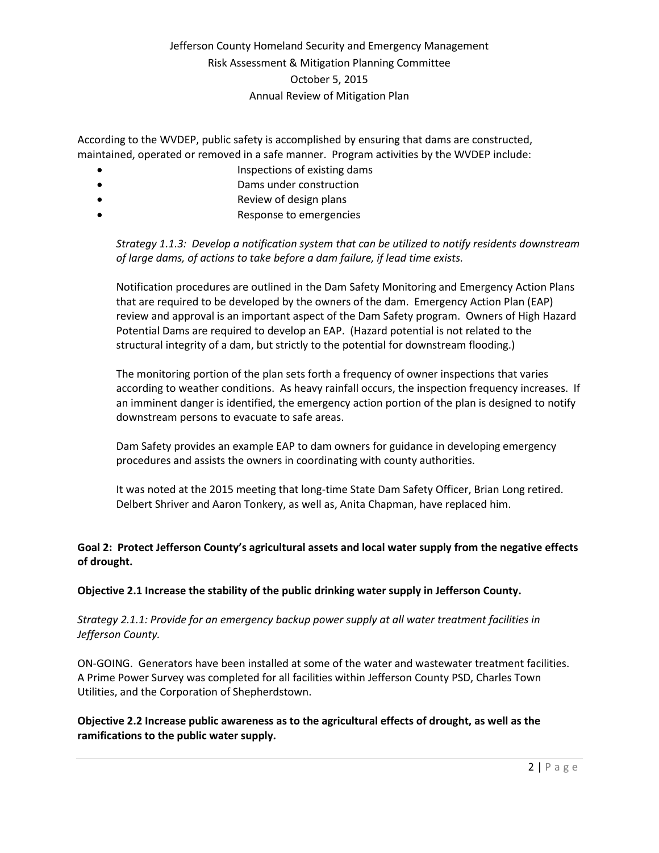According to the WVDEP, public safety is accomplished by ensuring that dams are constructed, maintained, operated or removed in a safe manner. Program activities by the WVDEP include:

- Inspections of existing dams
- Dams under construction
- Review of design plans
- Response to emergencies

*Strategy 1.1.3: Develop a notification system that can be utilized to notify residents downstream of large dams, of actions to take before a dam failure, if lead time exists.*

Notification procedures are outlined in the Dam Safety Monitoring and Emergency Action Plans that are required to be developed by the owners of the dam. Emergency Action Plan (EAP) review and approval is an important aspect of the Dam Safety program. Owners of High Hazard Potential Dams are required to develop an EAP. (Hazard potential is not related to the structural integrity of a dam, but strictly to the potential for downstream flooding.)

The monitoring portion of the plan sets forth a frequency of owner inspections that varies according to weather conditions. As heavy rainfall occurs, the inspection frequency increases. If an imminent danger is identified, the emergency action portion of the plan is designed to notify downstream persons to evacuate to safe areas.

Dam Safety provides an example EAP to dam owners for guidance in developing emergency procedures and assists the owners in coordinating with county authorities.

It was noted at the 2015 meeting that long-time State Dam Safety Officer, Brian Long retired. Delbert Shriver and Aaron Tonkery, as well as, Anita Chapman, have replaced him.

### **Goal 2: Protect Jefferson County's agricultural assets and local water supply from the negative effects of drought.**

### **Objective 2.1 Increase the stability of the public drinking water supply in Jefferson County.**

*Strategy 2.1.1: Provide for an emergency backup power supply at all water treatment facilities in Jefferson County.*

ON-GOING. Generators have been installed at some of the water and wastewater treatment facilities. A Prime Power Survey was completed for all facilities within Jefferson County PSD, Charles Town Utilities, and the Corporation of Shepherdstown.

### **Objective 2.2 Increase public awareness as to the agricultural effects of drought, as well as the ramifications to the public water supply.**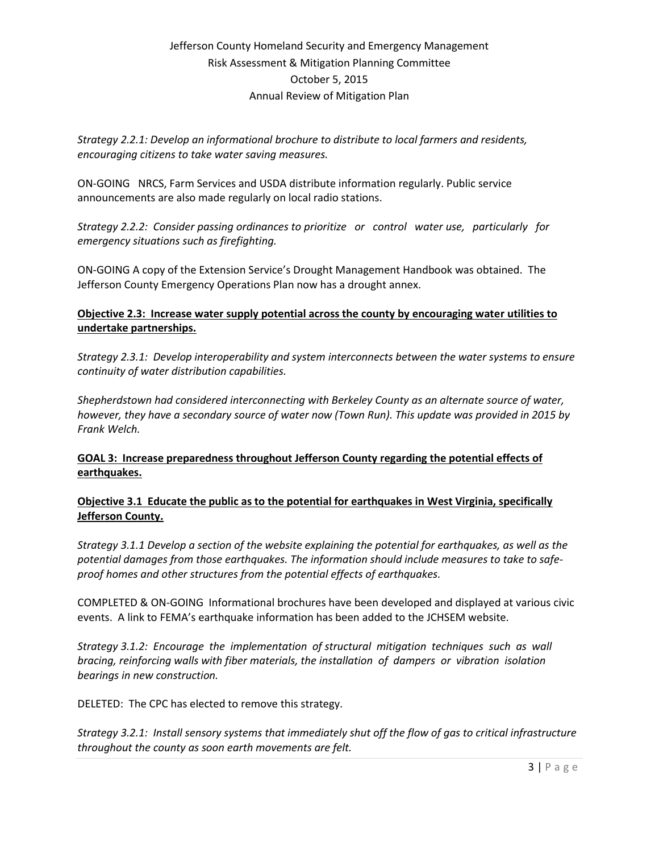*Strategy 2.2.1: Develop an informational brochure to distribute to local farmers and residents, encouraging citizens to take water saving measures.* 

ON-GOING NRCS, Farm Services and USDA distribute information regularly. Public service announcements are also made regularly on local radio stations.

*Strategy 2.2.2: Consider passing ordinances to prioritize or control water use, particularly for emergency situations such as firefighting.*

ON-GOING A copy of the Extension Service's Drought Management Handbook was obtained. The Jefferson County Emergency Operations Plan now has a drought annex.

### **Objective 2.3: Increase water supply potential across the county by encouraging water utilities to undertake partnerships.**

*Strategy 2.3.1: Develop interoperability and system interconnects between the water systems to ensure continuity of water distribution capabilities.*

*Shepherdstown had considered interconnecting with Berkeley County as an alternate source of water, however, they have a secondary source of water now (Town Run). This update was provided in 2015 by Frank Welch.* 

### **GOAL 3: Increase preparedness throughout Jefferson County regarding the potential effects of earthquakes.**

### **Objective 3.1 Educate the public as to the potential for earthquakes in West Virginia, specifically Jefferson County.**

*Strategy 3.1.1 Develop a section of the website explaining the potential for earthquakes, as well as the potential damages from those earthquakes. The information should include measures to take to safeproof homes and other structures from the potential effects of earthquakes.*

COMPLETED & ON-GOING Informational brochures have been developed and displayed at various civic events. A link to FEMA's earthquake information has been added to the JCHSEM website.

*Strategy 3.1.2: Encourage the implementation of structural mitigation techniques such as wall bracing, reinforcing walls with fiber materials, the installation of dampers or vibration isolation bearings in new construction.*

DELETED: The CPC has elected to remove this strategy.

*Strategy 3.2.1: Install sensory systems that immediately shut off the flow of gas to critical infrastructure throughout the county as soon earth movements are felt.*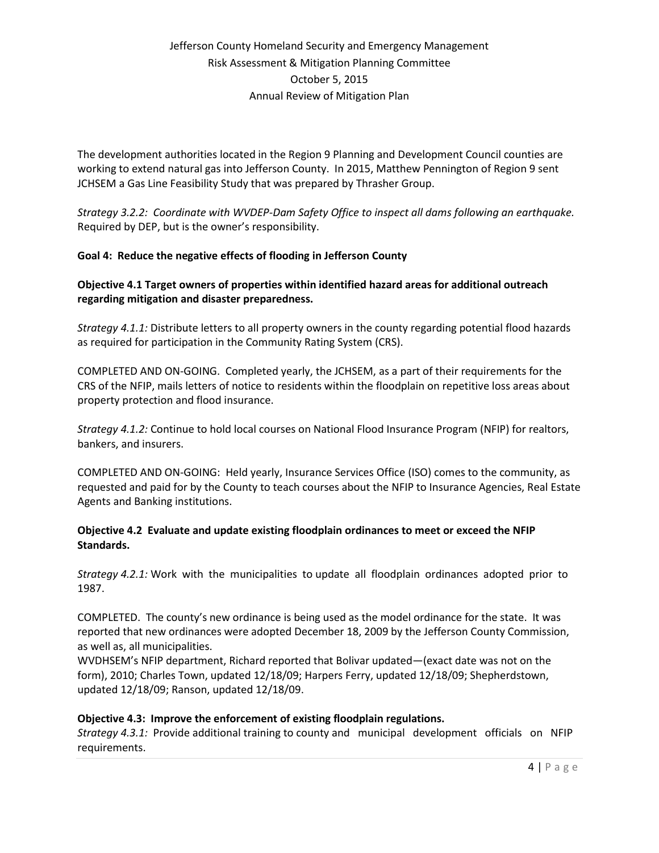The development authorities located in the Region 9 Planning and Development Council counties are working to extend natural gas into Jefferson County. In 2015, Matthew Pennington of Region 9 sent JCHSEM a Gas Line Feasibility Study that was prepared by Thrasher Group.

*Strategy 3.2.2: Coordinate with WVDEP-Dam Safety Office to inspect all dams following an earthquake.* Required by DEP, but is the owner's responsibility.

### **Goal 4: Reduce the negative effects of flooding in Jefferson County**

### **Objective 4.1 Target owners of properties within identified hazard areas for additional outreach regarding mitigation and disaster preparedness.**

*Strategy 4.1.1:* Distribute letters to all property owners in the county regarding potential flood hazards as required for participation in the Community Rating System (CRS).

COMPLETED AND ON-GOING. Completed yearly, the JCHSEM, as a part of their requirements for the CRS of the NFIP, mails letters of notice to residents within the floodplain on repetitive loss areas about property protection and flood insurance.

*Strategy 4.1.2:* Continue to hold local courses on National Flood Insurance Program (NFIP) for realtors, bankers, and insurers.

COMPLETED AND ON-GOING: Held yearly, Insurance Services Office (ISO) comes to the community, as requested and paid for by the County to teach courses about the NFIP to Insurance Agencies, Real Estate Agents and Banking institutions.

#### **Objective 4.2 Evaluate and update existing floodplain ordinances to meet or exceed the NFIP Standards.**

*Strategy 4.2.1:* Work with the municipalities to update all floodplain ordinances adopted prior to 1987.

COMPLETED. The county's new ordinance is being used as the model ordinance for the state. It was reported that new ordinances were adopted December 18, 2009 by the Jefferson County Commission, as well as, all municipalities.

WVDHSEM's NFIP department, Richard reported that Bolivar updated—(exact date was not on the form), 2010; Charles Town, updated 12/18/09; Harpers Ferry, updated 12/18/09; Shepherdstown, updated 12/18/09; Ranson, updated 12/18/09.

#### **Objective 4.3: Improve the enforcement of existing floodplain regulations.**

*Strategy 4.3.1:* Provide additional training to county and municipal development officials on NFIP requirements.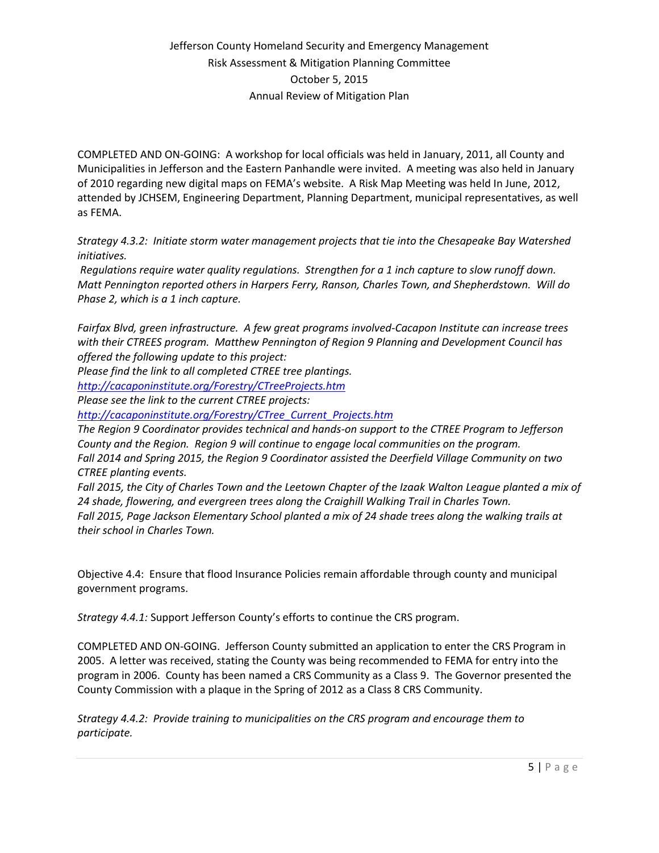COMPLETED AND ON-GOING: A workshop for local officials was held in January, 2011, all County and Municipalities in Jefferson and the Eastern Panhandle were invited. A meeting was also held in January of 2010 regarding new digital maps on FEMA's website. A Risk Map Meeting was held In June, 2012, attended by JCHSEM, Engineering Department, Planning Department, municipal representatives, as well as FEMA.

*Strategy 4.3.2: Initiate storm water management projects that tie into the Chesapeake Bay Watershed initiatives.*

*Regulations require water quality regulations. Strengthen for a 1 inch capture to slow runoff down. Matt Pennington reported others in Harpers Ferry, Ranson, Charles Town, and Shepherdstown. Will do Phase 2, which is a 1 inch capture.* 

*Fairfax Blvd, green infrastructure. A few great programs involved-Cacapon Institute can increase trees with their CTREES program. Matthew Pennington of Region 9 Planning and Development Council has offered the following update to this project:*

*Please find the link to all completed CTREE tree plantings.* 

*<http://cacaponinstitute.org/Forestry/CTreeProjects.htm>*

*Please see the link to the current CTREE projects:* 

*[http://cacaponinstitute.org/Forestry/CTree\\_Current\\_Projects.htm](http://cacaponinstitute.org/Forestry/CTree_Current_Projects.htm)*

*The Region 9 Coordinator provides technical and hands-on support to the CTREE Program to Jefferson County and the Region. Region 9 will continue to engage local communities on the program. Fall 2014 and Spring 2015, the Region 9 Coordinator assisted the Deerfield Village Community on two* 

*CTREE planting events.*

Fall 2015, the City of Charles Town and the Leetown Chapter of the Izaak Walton League planted a mix of *24 shade, flowering, and evergreen trees along the Craighill Walking Trail in Charles Town. Fall 2015, Page Jackson Elementary School planted a mix of 24 shade trees along the walking trails at their school in Charles Town.*

Objective 4.4: Ensure that flood Insurance Policies remain affordable through county and municipal government programs.

*Strategy 4.4.1:* Support Jefferson County's efforts to continue the CRS program.

COMPLETED AND ON-GOING. Jefferson County submitted an application to enter the CRS Program in 2005. A letter was received, stating the County was being recommended to FEMA for entry into the program in 2006. County has been named a CRS Community as a Class 9. The Governor presented the County Commission with a plaque in the Spring of 2012 as a Class 8 CRS Community.

*Strategy 4.4.2: Provide training to municipalities on the CRS program and encourage them to participate.*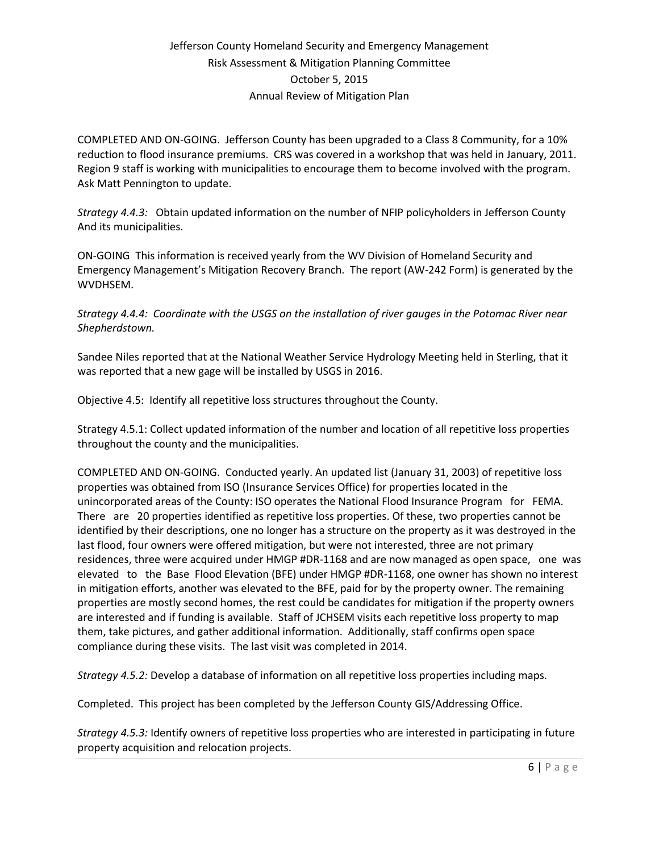COMPLETED AND ON-GOING. Jefferson County has been upgraded to a Class 8 Community, for a 10% reduction to flood insurance premiums. CRS was covered in a workshop that was held in January, 2011. Region 9 staff is working with municipalities to encourage them to become involved with the program. Ask Matt Pennington to update.

*Strategy 4.4.3:* Obtain updated information on the number of NFIP policyholders in Jefferson County And its municipalities.

ON-GOING This information is received yearly from the WV Division of Homeland Security and Emergency Management's Mitigation Recovery Branch. The report (AW-242 Form) is generated by the WVDHSEM.

*Strategy 4.4.4: Coordinate with the USGS on the installation of river gauges in the Potomac River near Shepherdstown.*

Sandee Niles reported that at the National Weather Service Hydrology Meeting held in Sterling, that it was reported that a new gage will be installed by USGS in 2016.

Objective 4.5: Identify all repetitive loss structures throughout the County.

Strategy 4.5.1: Collect updated information of the number and location of all repetitive loss properties throughout the county and the municipalities.

COMPLETED AND ON-GOING. Conducted yearly. An updated list (January 31, 2003) of repetitive loss properties was obtained from ISO (Insurance Services Office) for properties located in the unincorporated areas of the County: ISO operates the National Flood Insurance Program for FEMA. There are 20 properties identified as repetitive loss properties. Of these, two properties cannot be identified by their descriptions, one no longer has a structure on the property as it was destroyed in the last flood, four owners were offered mitigation, but were not interested, three are not primary residences, three were acquired under HMGP #DR-1168 and are now managed as open space, one was elevated to the Base Flood Elevation (BFE) under HMGP #DR-1168, one owner has shown no interest in mitigation efforts, another was elevated to the BFE, paid for by the property owner. The remaining properties are mostly second homes, the rest could be candidates for mitigation if the property owners are interested and if funding is available. Staff of JCHSEM visits each repetitive loss property to map them, take pictures, and gather additional information. Additionally, staff confirms open space compliance during these visits. The last visit was completed in 2014.

*Strategy 4.5.2:* Develop a database of information on all repetitive loss properties including maps.

Completed. This project has been completed by the Jefferson County GIS/Addressing Office.

*Strategy 4.5.3:* Identify owners of repetitive loss properties who are interested in participating in future property acquisition and relocation projects.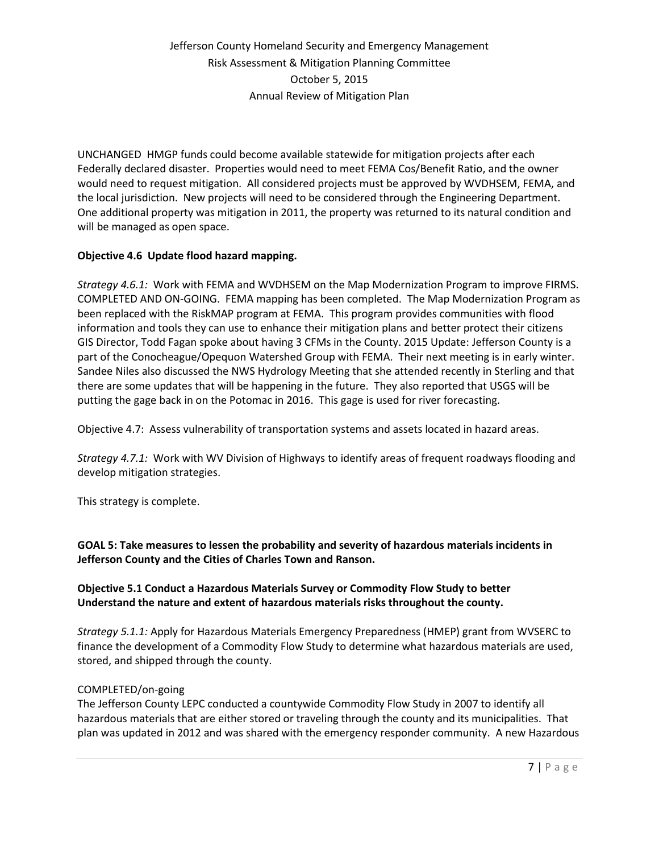UNCHANGED HMGP funds could become available statewide for mitigation projects after each Federally declared disaster. Properties would need to meet FEMA Cos/Benefit Ratio, and the owner would need to request mitigation. All considered projects must be approved by WVDHSEM, FEMA, and the local jurisdiction. New projects will need to be considered through the Engineering Department. One additional property was mitigation in 2011, the property was returned to its natural condition and will be managed as open space.

### **Objective 4.6 Update flood hazard mapping.**

*Strategy 4.6.1:* Work with FEMA and WVDHSEM on the Map Modernization Program to improve FIRMS. COMPLETED AND ON-GOING. FEMA mapping has been completed. The Map Modernization Program as been replaced with the RiskMAP program at FEMA. This program provides communities with flood information and tools they can use to enhance their mitigation plans and better protect their citizens GIS Director, Todd Fagan spoke about having 3 CFMs in the County. 2015 Update: Jefferson County is a part of the Conocheague/Opequon Watershed Group with FEMA. Their next meeting is in early winter. Sandee Niles also discussed the NWS Hydrology Meeting that she attended recently in Sterling and that there are some updates that will be happening in the future. They also reported that USGS will be putting the gage back in on the Potomac in 2016. This gage is used for river forecasting.

Objective 4.7: Assess vulnerability of transportation systems and assets located in hazard areas.

*Strategy 4.7.1:* Work with WV Division of Highways to identify areas of frequent roadways flooding and develop mitigation strategies.

This strategy is complete.

**GOAL 5: Take measures to lessen the probability and severity of hazardous materials incidents in Jefferson County and the Cities of Charles Town and Ranson.**

### **Objective 5.1 Conduct a Hazardous Materials Survey or Commodity Flow Study to better Understand the nature and extent of hazardous materials risks throughout the county.**

*Strategy 5.1.1:* Apply for Hazardous Materials Emergency Preparedness (HMEP) grant from WVSERC to finance the development of a Commodity Flow Study to determine what hazardous materials are used, stored, and shipped through the county.

#### COMPLETED/on-going

The Jefferson County LEPC conducted a countywide Commodity Flow Study in 2007 to identify all hazardous materials that are either stored or traveling through the county and its municipalities. That plan was updated in 2012 and was shared with the emergency responder community. A new Hazardous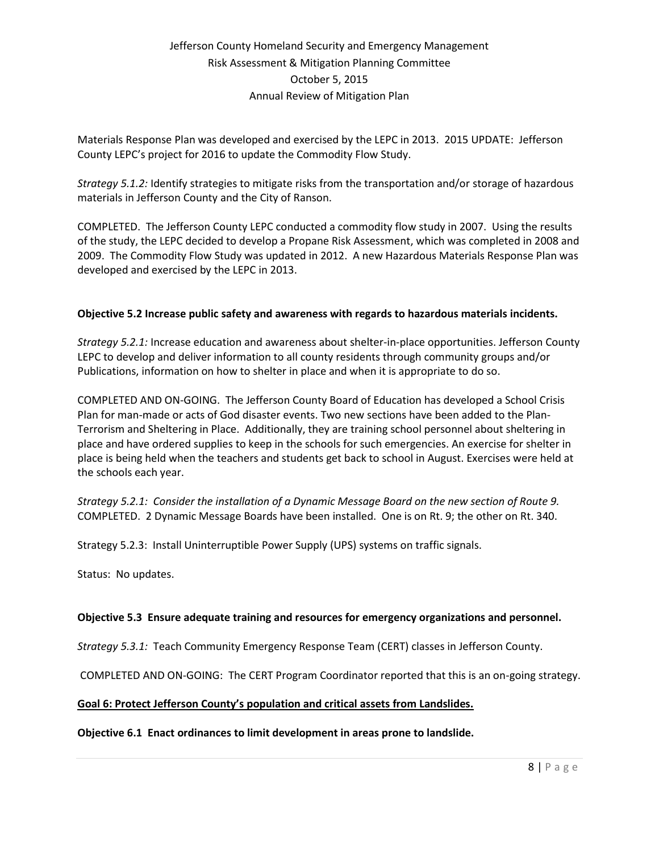Materials Response Plan was developed and exercised by the LEPC in 2013. 2015 UPDATE: Jefferson County LEPC's project for 2016 to update the Commodity Flow Study.

*Strategy 5.1.2:* Identify strategies to mitigate risks from the transportation and/or storage of hazardous materials in Jefferson County and the City of Ranson.

COMPLETED. The Jefferson County LEPC conducted a commodity flow study in 2007. Using the results of the study, the LEPC decided to develop a Propane Risk Assessment, which was completed in 2008 and 2009. The Commodity Flow Study was updated in 2012. A new Hazardous Materials Response Plan was developed and exercised by the LEPC in 2013.

#### **Objective 5.2 Increase public safety and awareness with regards to hazardous materials incidents.**

*Strategy 5.2.1:* Increase education and awareness about shelter-in-place opportunities. Jefferson County LEPC to develop and deliver information to all county residents through community groups and/or Publications, information on how to shelter in place and when it is appropriate to do so.

COMPLETED AND ON-GOING. The Jefferson County Board of Education has developed a School Crisis Plan for man-made or acts of God disaster events. Two new sections have been added to the Plan-Terrorism and Sheltering in Place. Additionally, they are training school personnel about sheltering in place and have ordered supplies to keep in the schools for such emergencies. An exercise for shelter in place is being held when the teachers and students get back to school in August. Exercises were held at the schools each year.

*Strategy 5.2.1: Consider the installation of a Dynamic Message Board on the new section of Route 9.* COMPLETED. 2 Dynamic Message Boards have been installed. One is on Rt. 9; the other on Rt. 340.

Strategy 5.2.3: Install Uninterruptible Power Supply (UPS) systems on traffic signals.

Status: No updates.

#### **Objective 5.3 Ensure adequate training and resources for emergency organizations and personnel.**

*Strategy 5.3.1:* Teach Community Emergency Response Team (CERT) classes in Jefferson County.

COMPLETED AND ON-GOING: The CERT Program Coordinator reported that this is an on-going strategy.

#### **Goal 6: Protect Jefferson County's population and critical assets from Landslides.**

**Objective 6.1 Enact ordinances to limit development in areas prone to landslide.**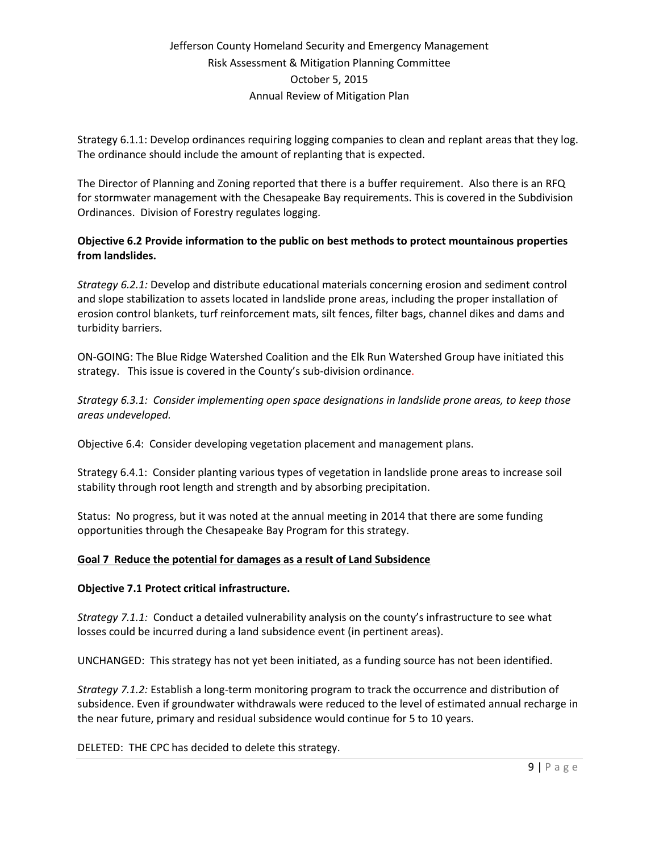Strategy 6.1.1: Develop ordinances requiring logging companies to clean and replant areas that they log. The ordinance should include the amount of replanting that is expected.

The Director of Planning and Zoning reported that there is a buffer requirement. Also there is an RFQ for stormwater management with the Chesapeake Bay requirements. This is covered in the Subdivision Ordinances. Division of Forestry regulates logging.

#### **Objective 6.2 Provide information to the public on best methods to protect mountainous properties from landslides.**

*Strategy 6.2.1:* Develop and distribute educational materials concerning erosion and sediment control and slope stabilization to assets located in landslide prone areas, including the proper installation of erosion control blankets, turf reinforcement mats, silt fences, filter bags, channel dikes and dams and turbidity barriers.

ON-GOING: The Blue Ridge Watershed Coalition and the Elk Run Watershed Group have initiated this strategy. This issue is covered in the County's sub-division ordinance.

*Strategy 6.3.1: Consider implementing open space designations in landslide prone areas, to keep those areas undeveloped.*

Objective 6.4: Consider developing vegetation placement and management plans.

Strategy 6.4.1: Consider planting various types of vegetation in landslide prone areas to increase soil stability through root length and strength and by absorbing precipitation.

Status: No progress, but it was noted at the annual meeting in 2014 that there are some funding opportunities through the Chesapeake Bay Program for this strategy.

#### **Goal 7 Reduce the potential for damages as a result of Land Subsidence**

#### **Objective 7.1 Protect critical infrastructure.**

*Strategy 7.1.1:* Conduct a detailed vulnerability analysis on the county's infrastructure to see what losses could be incurred during a land subsidence event (in pertinent areas).

UNCHANGED: This strategy has not yet been initiated, as a funding source has not been identified.

*Strategy 7.1.2:* Establish a long-term monitoring program to track the occurrence and distribution of subsidence. Even if groundwater withdrawals were reduced to the level of estimated annual recharge in the near future, primary and residual subsidence would continue for 5 to 10 years.

DELETED: THE CPC has decided to delete this strategy.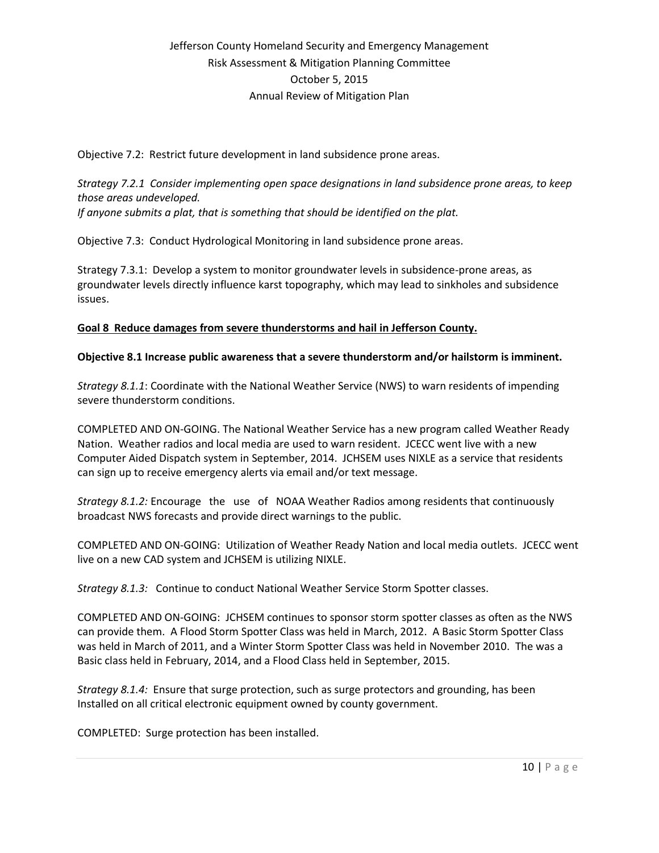Objective 7.2: Restrict future development in land subsidence prone areas.

*Strategy 7.2.1 Consider implementing open space designations in land subsidence prone areas, to keep those areas undeveloped. If anyone submits a plat, that is something that should be identified on the plat.*

Objective 7.3: Conduct Hydrological Monitoring in land subsidence prone areas.

Strategy 7.3.1: Develop a system to monitor groundwater levels in subsidence-prone areas, as groundwater levels directly influence karst topography, which may lead to sinkholes and subsidence issues.

#### **Goal 8 Reduce damages from severe thunderstorms and hail in Jefferson County.**

#### **Objective 8.1 Increase public awareness that a severe thunderstorm and/or hailstorm is imminent.**

*Strategy 8.1.1*: Coordinate with the National Weather Service (NWS) to warn residents of impending severe thunderstorm conditions.

COMPLETED AND ON-GOING. The National Weather Service has a new program called Weather Ready Nation. Weather radios and local media are used to warn resident. JCECC went live with a new Computer Aided Dispatch system in September, 2014. JCHSEM uses NIXLE as a service that residents can sign up to receive emergency alerts via email and/or text message.

*Strategy 8.1.2:* Encourage the use of NOAA Weather Radios among residents that continuously broadcast NWS forecasts and provide direct warnings to the public.

COMPLETED AND ON-GOING: Utilization of Weather Ready Nation and local media outlets. JCECC went live on a new CAD system and JCHSEM is utilizing NIXLE.

*Strategy 8.1.3:* Continue to conduct National Weather Service Storm Spotter classes.

COMPLETED AND ON-GOING: JCHSEM continues to sponsor storm spotter classes as often as the NWS can provide them. A Flood Storm Spotter Class was held in March, 2012. A Basic Storm Spotter Class was held in March of 2011, and a Winter Storm Spotter Class was held in November 2010. The was a Basic class held in February, 2014, and a Flood Class held in September, 2015.

*Strategy 8.1.4:* Ensure that surge protection, such as surge protectors and grounding, has been Installed on all critical electronic equipment owned by county government.

COMPLETED: Surge protection has been installed.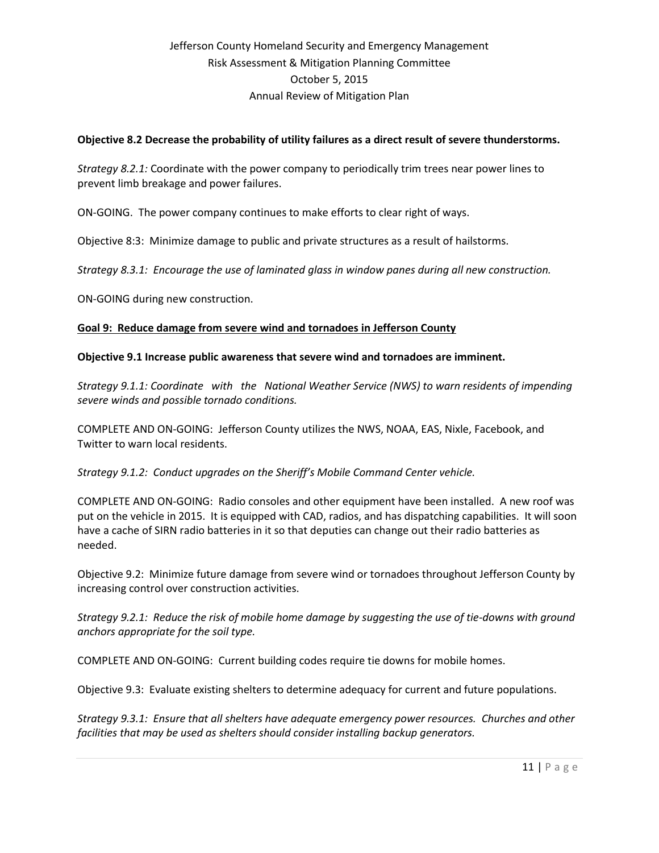#### **Objective 8.2 Decrease the probability of utility failures as a direct result of severe thunderstorms.**

*Strategy 8.2.1:* Coordinate with the power company to periodically trim trees near power lines to prevent limb breakage and power failures.

ON-GOING. The power company continues to make efforts to clear right of ways.

Objective 8:3: Minimize damage to public and private structures as a result of hailstorms.

*Strategy 8.3.1: Encourage the use of laminated glass in window panes during all new construction.*

ON-GOING during new construction.

#### **Goal 9: Reduce damage from severe wind and tornadoes in Jefferson County**

#### **Objective 9.1 Increase public awareness that severe wind and tornadoes are imminent.**

*Strategy 9.1.1: Coordinate with the National Weather Service (NWS) to warn residents of impending severe winds and possible tornado conditions.*

COMPLETE AND ON-GOING: Jefferson County utilizes the NWS, NOAA, EAS, Nixle, Facebook, and Twitter to warn local residents.

*Strategy 9.1.2: Conduct upgrades on the Sheriff's Mobile Command Center vehicle.*

COMPLETE AND ON-GOING: Radio consoles and other equipment have been installed. A new roof was put on the vehicle in 2015. It is equipped with CAD, radios, and has dispatching capabilities. It will soon have a cache of SIRN radio batteries in it so that deputies can change out their radio batteries as needed.

Objective 9.2: Minimize future damage from severe wind or tornadoes throughout Jefferson County by increasing control over construction activities.

*Strategy 9.2.1: Reduce the risk of mobile home damage by suggesting the use of tie-downs with ground anchors appropriate for the soil type.*

COMPLETE AND ON-GOING: Current building codes require tie downs for mobile homes.

Objective 9.3: Evaluate existing shelters to determine adequacy for current and future populations.

*Strategy 9.3.1: Ensure that all shelters have adequate emergency power resources. Churches and other facilities that may be used as shelters should consider installing backup generators.*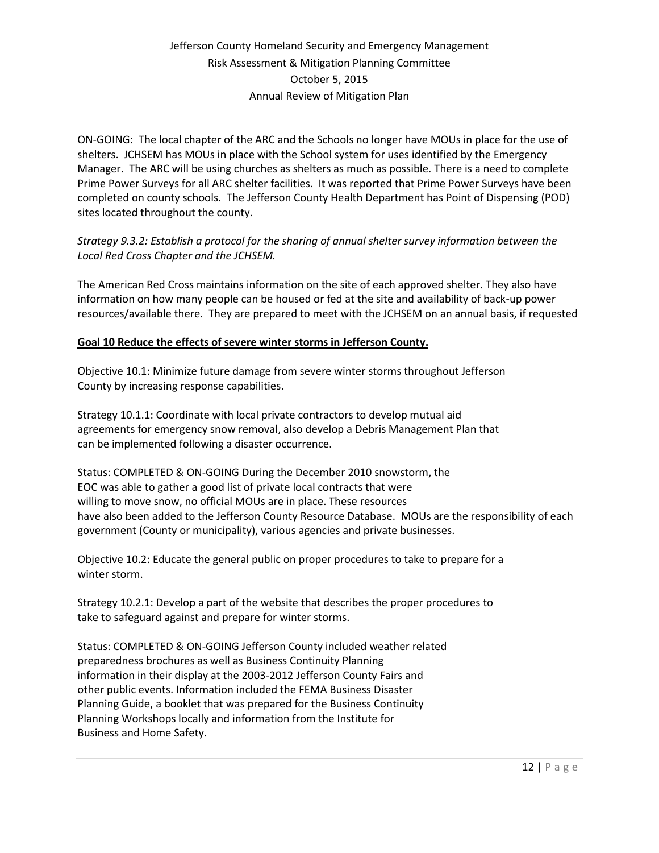ON-GOING: The local chapter of the ARC and the Schools no longer have MOUs in place for the use of shelters. JCHSEM has MOUs in place with the School system for uses identified by the Emergency Manager. The ARC will be using churches as shelters as much as possible. There is a need to complete Prime Power Surveys for all ARC shelter facilities. It was reported that Prime Power Surveys have been completed on county schools. The Jefferson County Health Department has Point of Dispensing (POD) sites located throughout the county.

*Strategy 9.3.2: Establish a protocol for the sharing of annual shelter survey information between the Local Red Cross Chapter and the JCHSEM.*

The American Red Cross maintains information on the site of each approved shelter. They also have information on how many people can be housed or fed at the site and availability of back-up power resources/available there. They are prepared to meet with the JCHSEM on an annual basis, if requested

#### **Goal 10 Reduce the effects of severe winter storms in Jefferson County.**

Objective 10.1: Minimize future damage from severe winter storms throughout Jefferson County by increasing response capabilities.

Strategy 10.1.1: Coordinate with local private contractors to develop mutual aid agreements for emergency snow removal, also develop a Debris Management Plan that can be implemented following a disaster occurrence.

Status: COMPLETED & ON-GOING During the December 2010 snowstorm, the EOC was able to gather a good list of private local contracts that were willing to move snow, no official MOUs are in place. These resources have also been added to the Jefferson County Resource Database. MOUs are the responsibility of each government (County or municipality), various agencies and private businesses.

Objective 10.2: Educate the general public on proper procedures to take to prepare for a winter storm.

Strategy 10.2.1: Develop a part of the website that describes the proper procedures to take to safeguard against and prepare for winter storms.

Status: COMPLETED & ON-GOING Jefferson County included weather related preparedness brochures as well as Business Continuity Planning information in their display at the 2003-2012 Jefferson County Fairs and other public events. Information included the FEMA Business Disaster Planning Guide, a booklet that was prepared for the Business Continuity Planning Workshops locally and information from the Institute for Business and Home Safety.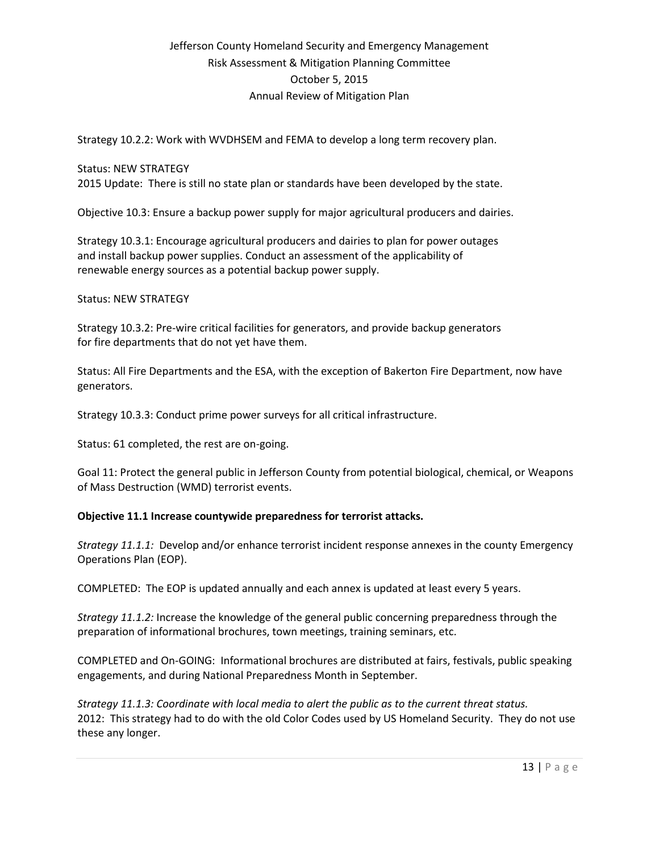Strategy 10.2.2: Work with WVDHSEM and FEMA to develop a long term recovery plan.

#### Status: NEW STRATEGY

2015 Update: There is still no state plan or standards have been developed by the state.

Objective 10.3: Ensure a backup power supply for major agricultural producers and dairies.

Strategy 10.3.1: Encourage agricultural producers and dairies to plan for power outages and install backup power supplies. Conduct an assessment of the applicability of renewable energy sources as a potential backup power supply.

#### Status: NEW STRATEGY

Strategy 10.3.2: Pre-wire critical facilities for generators, and provide backup generators for fire departments that do not yet have them.

Status: All Fire Departments and the ESA, with the exception of Bakerton Fire Department, now have generators.

Strategy 10.3.3: Conduct prime power surveys for all critical infrastructure.

Status: 61 completed, the rest are on-going.

Goal 11: Protect the general public in Jefferson County from potential biological, chemical, or Weapons of Mass Destruction (WMD) terrorist events.

#### **Objective 11.1 Increase countywide preparedness for terrorist attacks.**

*Strategy 11.1.1:* Develop and/or enhance terrorist incident response annexes in the county Emergency Operations Plan (EOP).

COMPLETED: The EOP is updated annually and each annex is updated at least every 5 years.

*Strategy 11.1.2:* Increase the knowledge of the general public concerning preparedness through the preparation of informational brochures, town meetings, training seminars, etc.

COMPLETED and On-GOING: Informational brochures are distributed at fairs, festivals, public speaking engagements, and during National Preparedness Month in September.

*Strategy 11.1.3: Coordinate with local media to alert the public as to the current threat status.* 2012: This strategy had to do with the old Color Codes used by US Homeland Security. They do not use these any longer.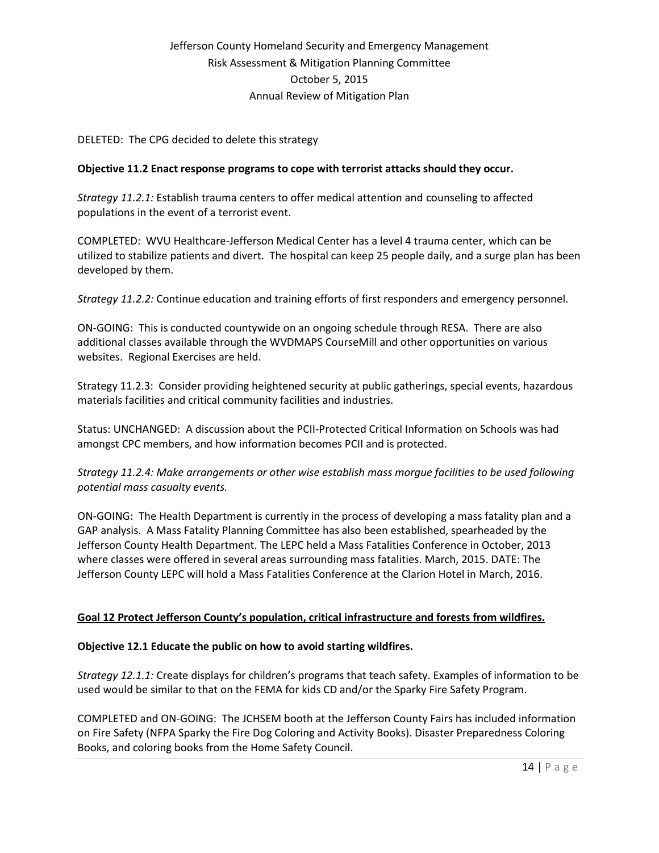#### DELETED: The CPG decided to delete this strategy

#### **Objective 11.2 Enact response programs to cope with terrorist attacks should they occur.**

*Strategy 11.2.1:* Establish trauma centers to offer medical attention and counseling to affected populations in the event of a terrorist event.

COMPLETED: WVU Healthcare-Jefferson Medical Center has a level 4 trauma center, which can be utilized to stabilize patients and divert. The hospital can keep 25 people daily, and a surge plan has been developed by them.

*Strategy 11.2.2:* Continue education and training efforts of first responders and emergency personnel.

ON-GOING: This is conducted countywide on an ongoing schedule through RESA. There are also additional classes available through the WVDMAPS CourseMill and other opportunities on various websites. Regional Exercises are held.

Strategy 11.2.3: Consider providing heightened security at public gatherings, special events, hazardous materials facilities and critical community facilities and industries.

Status: UNCHANGED: A discussion about the PCII-Protected Critical Information on Schools was had amongst CPC members, and how information becomes PCII and is protected.

*Strategy 11.2.4: Make arrangements or other wise establish mass morgue facilities to be used following potential mass casualty events.* 

ON-GOING: The Health Department is currently in the process of developing a mass fatality plan and a GAP analysis. A Mass Fatality Planning Committee has also been established, spearheaded by the Jefferson County Health Department. The LEPC held a Mass Fatalities Conference in October, 2013 where classes were offered in several areas surrounding mass fatalities. March, 2015. DATE: The Jefferson County LEPC will hold a Mass Fatalities Conference at the Clarion Hotel in March, 2016.

#### **Goal 12 Protect Jefferson County's population, critical infrastructure and forests from wildfires.**

#### **Objective 12.1 Educate the public on how to avoid starting wildfires.**

*Strategy 12.1.1:* Create displays for children's programs that teach safety. Examples of information to be used would be similar to that on the FEMA for kids CD and/or the Sparky Fire Safety Program.

COMPLETED and ON-GOING: The JCHSEM booth at the Jefferson County Fairs has included information on Fire Safety (NFPA Sparky the Fire Dog Coloring and Activity Books). Disaster Preparedness Coloring Books, and coloring books from the Home Safety Council.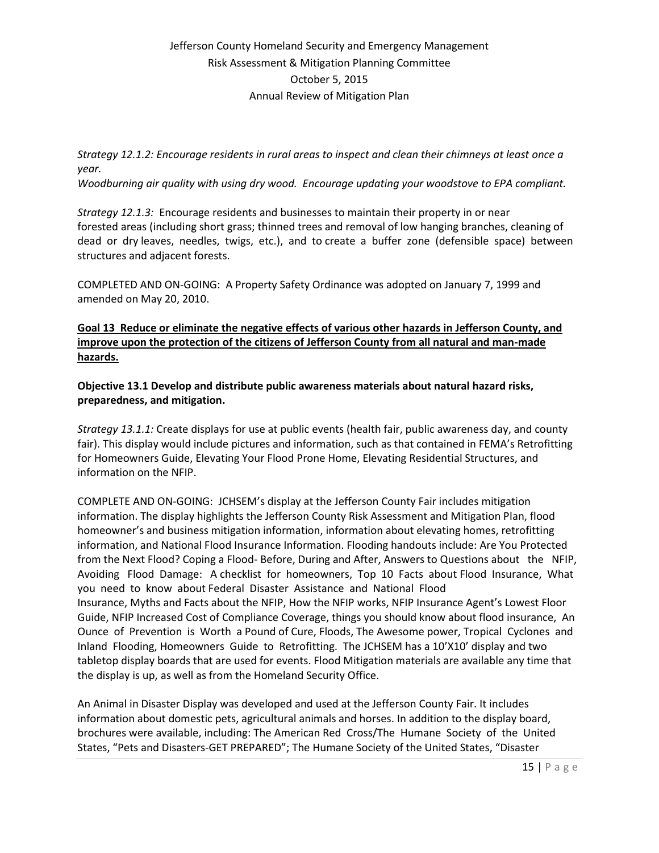*Strategy 12.1.2: Encourage residents in rural areas to inspect and clean their chimneys at least once a year.*

*Woodburning air quality with using dry wood. Encourage updating your woodstove to EPA compliant.*

*Strategy 12.1.3:* Encourage residents and businesses to maintain their property in or near forested areas (including short grass; thinned trees and removal of low hanging branches, cleaning of dead or dry leaves, needles, twigs, etc.), and to create a buffer zone (defensible space) between structures and adjacent forests.

COMPLETED AND ON-GOING: A Property Safety Ordinance was adopted on January 7, 1999 and amended on May 20, 2010.

### **Goal 13 Reduce or eliminate the negative effects of various other hazards in Jefferson County, and improve upon the protection of the citizens of Jefferson County from all natural and man-made hazards.**

**Objective 13.1 Develop and distribute public awareness materials about natural hazard risks, preparedness, and mitigation.**

*Strategy 13.1.1:* Create displays for use at public events (health fair, public awareness day, and county fair). This display would include pictures and information, such as that contained in FEMA's Retrofitting for Homeowners Guide, Elevating Your Flood Prone Home, Elevating Residential Structures, and information on the NFIP.

COMPLETE AND ON-GOING: JCHSEM's display at the Jefferson County Fair includes mitigation information. The display highlights the Jefferson County Risk Assessment and Mitigation Plan, flood homeowner's and business mitigation information, information about elevating homes, retrofitting information, and National Flood Insurance Information. Flooding handouts include: Are You Protected from the Next Flood? Coping a Flood- Before, During and After, Answers to Questions about the NFIP, Avoiding Flood Damage: A checklist for homeowners, Top 10 Facts about Flood Insurance, What you need to know about Federal Disaster Assistance and National Flood Insurance, Myths and Facts about the NFIP, How the NFIP works, NFIP Insurance Agent's Lowest Floor Guide, NFIP Increased Cost of Compliance Coverage, things you should know about flood insurance, An Ounce of Prevention is Worth a Pound of Cure, Floods, The Awesome power, Tropical Cyclones and Inland Flooding, Homeowners Guide to Retrofitting. The JCHSEM has a 10'X10' display and two tabletop display boards that are used for events. Flood Mitigation materials are available any time that the display is up, as well as from the Homeland Security Office.

An Animal in Disaster Display was developed and used at the Jefferson County Fair. It includes information about domestic pets, agricultural animals and horses. In addition to the display board, brochures were available, including: The American Red Cross/The Humane Society of the United States, "Pets and Disasters-GET PREPARED"; The Humane Society of the United States, "Disaster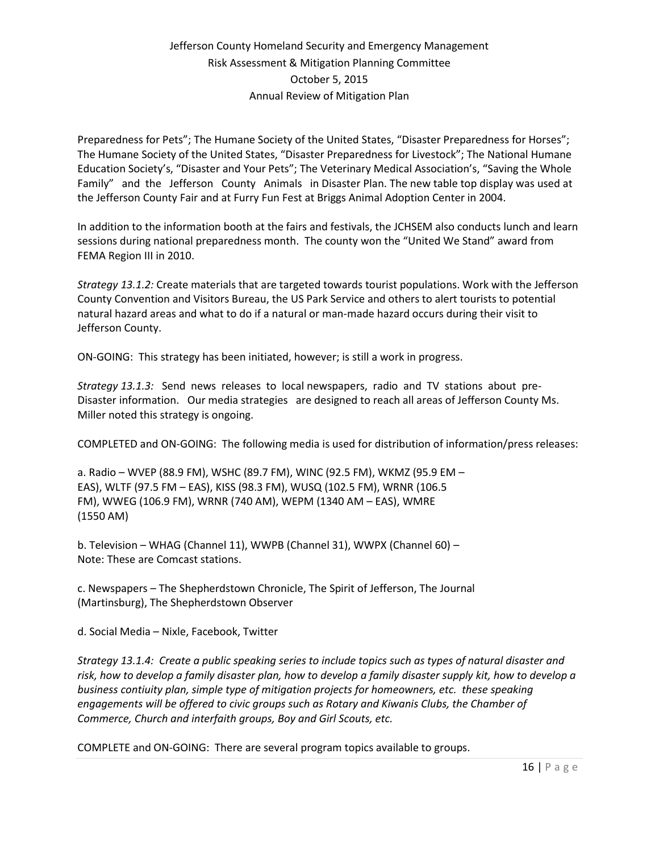Preparedness for Pets"; The Humane Society of the United States, "Disaster Preparedness for Horses"; The Humane Society of the United States, "Disaster Preparedness for Livestock"; The National Humane Education Society's, "Disaster and Your Pets"; The Veterinary Medical Association's, "Saving the Whole Family" and the Jefferson County Animals in Disaster Plan. The new table top display was used at the Jefferson County Fair and at Furry Fun Fest at Briggs Animal Adoption Center in 2004.

In addition to the information booth at the fairs and festivals, the JCHSEM also conducts lunch and learn sessions during national preparedness month. The county won the "United We Stand" award from FEMA Region III in 2010.

*Strategy 13.1.2:* Create materials that are targeted towards tourist populations. Work with the Jefferson County Convention and Visitors Bureau, the US Park Service and others to alert tourists to potential natural hazard areas and what to do if a natural or man-made hazard occurs during their visit to Jefferson County.

ON-GOING: This strategy has been initiated, however; is still a work in progress.

*Strategy 13.1.3:* Send news releases to local newspapers, radio and TV stations about pre-Disaster information. Our media strategies are designed to reach all areas of Jefferson County Ms. Miller noted this strategy is ongoing.

COMPLETED and ON-GOING: The following media is used for distribution of information/press releases:

a. Radio – WVEP (88.9 FM), WSHC (89.7 FM), WINC (92.5 FM), WKMZ (95.9 EM – EAS), WLTF (97.5 FM – EAS), KISS (98.3 FM), WUSQ (102.5 FM), WRNR (106.5 FM), WWEG (106.9 FM), WRNR (740 AM), WEPM (1340 AM – EAS), WMRE (1550 AM)

b. Television – WHAG (Channel 11), WWPB (Channel 31), WWPX (Channel 60) – Note: These are Comcast stations.

c. Newspapers – The Shepherdstown Chronicle, The Spirit of Jefferson, The Journal (Martinsburg), The Shepherdstown Observer

d. Social Media – Nixle, Facebook, Twitter

*Strategy 13.1.4: Create a public speaking series to include topics such as types of natural disaster and risk, how to develop a family disaster plan, how to develop a family disaster supply kit, how to develop a business contiuity plan, simple type of mitigation projects for homeowners, etc. these speaking engagements will be offered to civic groups such as Rotary and Kiwanis Clubs, the Chamber of Commerce, Church and interfaith groups, Boy and Girl Scouts, etc.*

COMPLETE and ON-GOING: There are several program topics available to groups.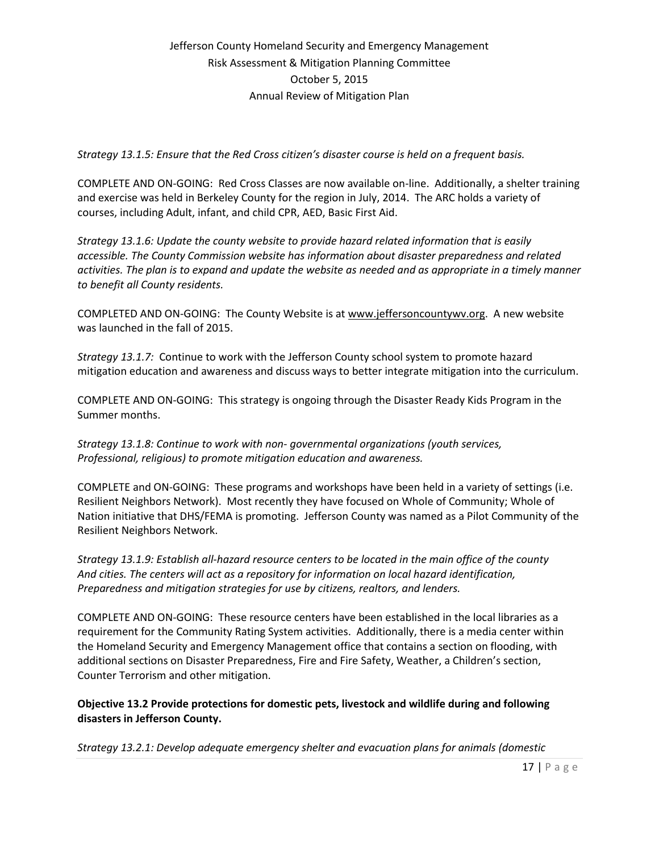*Strategy 13.1.5: Ensure that the Red Cross citizen's disaster course is held on a frequent basis.*

COMPLETE AND ON-GOING: Red Cross Classes are now available on-line. Additionally, a shelter training and exercise was held in Berkeley County for the region in July, 2014. The ARC holds a variety of courses, including Adult, infant, and child CPR, AED, Basic First Aid.

*Strategy 13.1.6: Update the county website to provide hazard related information that is easily accessible. The County Commission website has information about disaster preparedness and related activities. The plan is to expand and update the website as needed and as appropriate in a timely manner to benefit all County residents.*

COMPLETED AND ON-GOING: The County Website is at [www.jeffersoncountywv.org.](http://www.jeffersoncountywv.org/) A new website was launched in the fall of 2015.

*Strategy 13.1.7:* Continue to work with the Jefferson County school system to promote hazard mitigation education and awareness and discuss ways to better integrate mitigation into the curriculum.

COMPLETE AND ON-GOING: This strategy is ongoing through the Disaster Ready Kids Program in the Summer months.

*Strategy 13.1.8: Continue to work with non- governmental organizations (youth services, Professional, religious) to promote mitigation education and awareness.*

COMPLETE and ON-GOING: These programs and workshops have been held in a variety of settings (i.e. Resilient Neighbors Network). Most recently they have focused on Whole of Community; Whole of Nation initiative that DHS/FEMA is promoting. Jefferson County was named as a Pilot Community of the Resilient Neighbors Network.

*Strategy 13.1.9: Establish all-hazard resource centers to be located in the main office of the county And cities. The centers will act as a repository for information on local hazard identification, Preparedness and mitigation strategies for use by citizens, realtors, and lenders.*

COMPLETE AND ON-GOING: These resource centers have been established in the local libraries as a requirement for the Community Rating System activities. Additionally, there is a media center within the Homeland Security and Emergency Management office that contains a section on flooding, with additional sections on Disaster Preparedness, Fire and Fire Safety, Weather, a Children's section, Counter Terrorism and other mitigation.

**Objective 13.2 Provide protections for domestic pets, livestock and wildlife during and following disasters in Jefferson County.**

*Strategy 13.2.1: Develop adequate emergency shelter and evacuation plans for animals (domestic*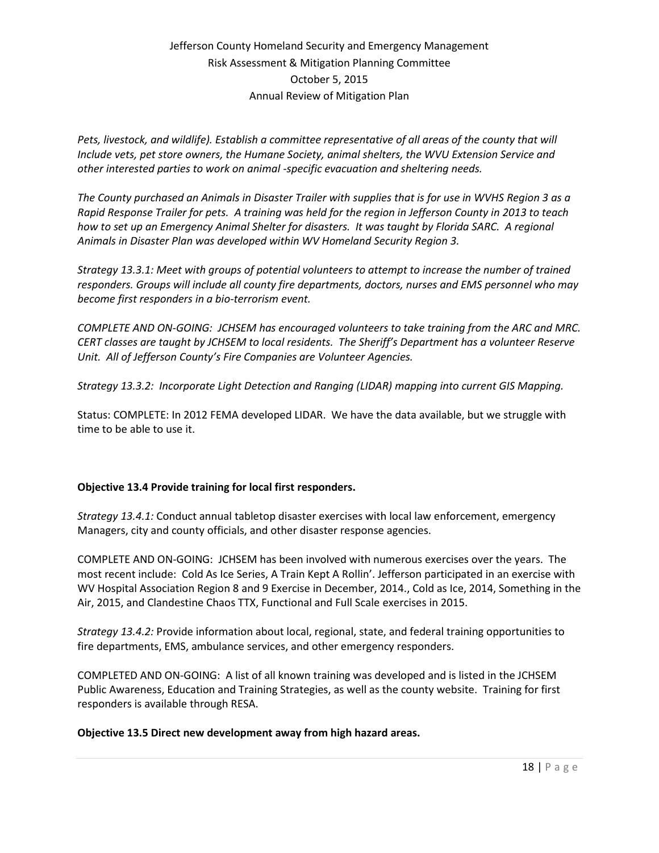*Pets, livestock, and wildlife). Establish a committee representative of all areas of the county that will Include vets, pet store owners, the Humane Society, animal shelters, the WVU Extension Service and other interested parties to work on animal -specific evacuation and sheltering needs.*

*The County purchased an Animals in Disaster Trailer with supplies that is for use in WVHS Region 3 as a Rapid Response Trailer for pets. A training was held for the region in Jefferson County in 2013 to teach*  how to set up an Emergency Animal Shelter for disasters. It was taught by Florida SARC. A regional *Animals in Disaster Plan was developed within WV Homeland Security Region 3.*

*Strategy 13.3.1: Meet with groups of potential volunteers to attempt to increase the number of trained responders. Groups will include all county fire departments, doctors, nurses and EMS personnel who may become first responders in a bio-terrorism event.*

*COMPLETE AND ON-GOING: JCHSEM has encouraged volunteers to take training from the ARC and MRC. CERT classes are taught by JCHSEM to local residents. The Sheriff's Department has a volunteer Reserve Unit. All of Jefferson County's Fire Companies are Volunteer Agencies.*

*Strategy 13.3.2: Incorporate Light Detection and Ranging (LIDAR) mapping into current GIS Mapping.*

Status: COMPLETE: In 2012 FEMA developed LIDAR. We have the data available, but we struggle with time to be able to use it.

### **Objective 13.4 Provide training for local first responders.**

*Strategy 13.4.1:* Conduct annual tabletop disaster exercises with local law enforcement, emergency Managers, city and county officials, and other disaster response agencies.

COMPLETE AND ON-GOING: JCHSEM has been involved with numerous exercises over the years. The most recent include: Cold As Ice Series, A Train Kept A Rollin'. Jefferson participated in an exercise with WV Hospital Association Region 8 and 9 Exercise in December, 2014., Cold as Ice, 2014, Something in the Air, 2015, and Clandestine Chaos TTX, Functional and Full Scale exercises in 2015.

*Strategy 13.4.2:* Provide information about local, regional, state, and federal training opportunities to fire departments, EMS, ambulance services, and other emergency responders.

COMPLETED AND ON-GOING: A list of all known training was developed and is listed in the JCHSEM Public Awareness, Education and Training Strategies, as well as the county website. Training for first responders is available through RESA.

#### **Objective 13.5 Direct new development away from high hazard areas.**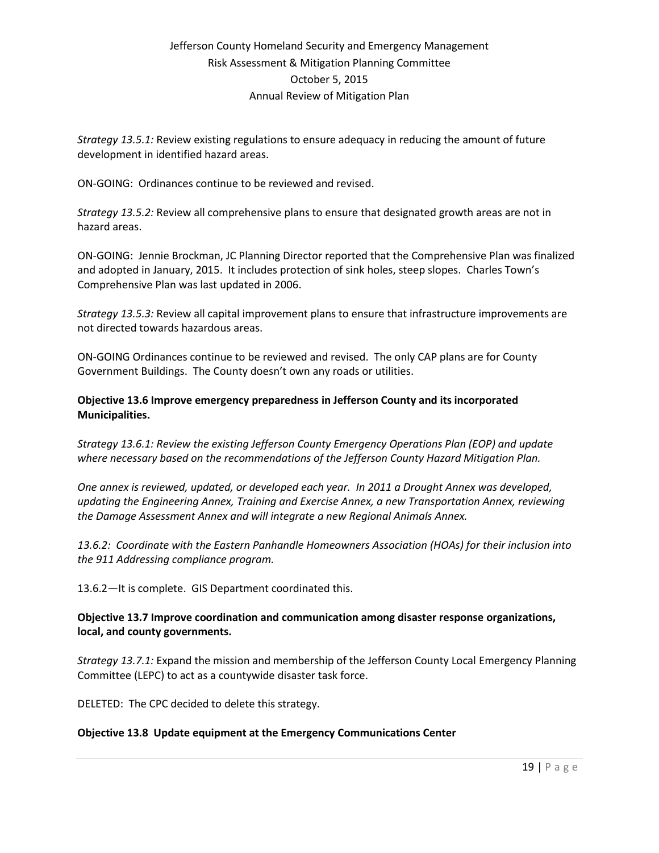*Strategy 13.5.1:* Review existing regulations to ensure adequacy in reducing the amount of future development in identified hazard areas.

ON-GOING: Ordinances continue to be reviewed and revised.

*Strategy 13.5.2:* Review all comprehensive plans to ensure that designated growth areas are not in hazard areas.

ON-GOING: Jennie Brockman, JC Planning Director reported that the Comprehensive Plan was finalized and adopted in January, 2015. It includes protection of sink holes, steep slopes. Charles Town's Comprehensive Plan was last updated in 2006.

*Strategy 13.5.3:* Review all capital improvement plans to ensure that infrastructure improvements are not directed towards hazardous areas.

ON-GOING Ordinances continue to be reviewed and revised. The only CAP plans are for County Government Buildings. The County doesn't own any roads or utilities.

**Objective 13.6 Improve emergency preparedness in Jefferson County and its incorporated Municipalities.**

*Strategy 13.6.1: Review the existing Jefferson County Emergency Operations Plan (EOP) and update where necessary based on the recommendations of the Jefferson County Hazard Mitigation Plan.*

*One annex is reviewed, updated, or developed each year. In 2011 a Drought Annex was developed, updating the Engineering Annex, Training and Exercise Annex, a new Transportation Annex, reviewing the Damage Assessment Annex and will integrate a new Regional Animals Annex.*

*13.6.2: Coordinate with the Eastern Panhandle Homeowners Association (HOAs) for their inclusion into the 911 Addressing compliance program.*

13.6.2—It is complete. GIS Department coordinated this.

### **Objective 13.7 Improve coordination and communication among disaster response organizations, local, and county governments.**

*Strategy 13.7.1:* Expand the mission and membership of the Jefferson County Local Emergency Planning Committee (LEPC) to act as a countywide disaster task force.

DELETED: The CPC decided to delete this strategy.

### **Objective 13.8 Update equipment at the Emergency Communications Center**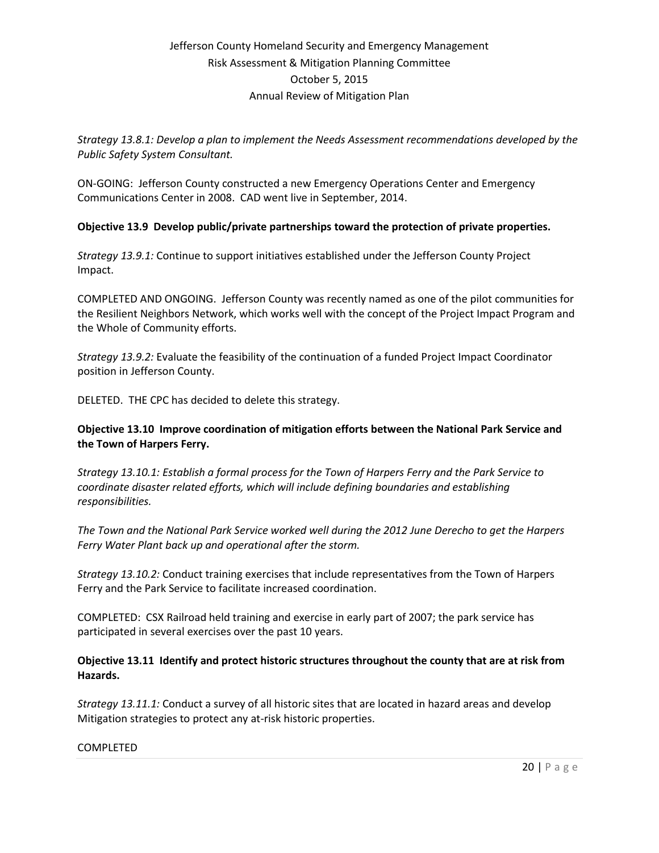*Strategy 13.8.1: Develop a plan to implement the Needs Assessment recommendations developed by the Public Safety System Consultant.*

ON-GOING: Jefferson County constructed a new Emergency Operations Center and Emergency Communications Center in 2008. CAD went live in September, 2014.

### **Objective 13.9 Develop public/private partnerships toward the protection of private properties.**

*Strategy 13.9.1:* Continue to support initiatives established under the Jefferson County Project Impact.

COMPLETED AND ONGOING. Jefferson County was recently named as one of the pilot communities for the Resilient Neighbors Network, which works well with the concept of the Project Impact Program and the Whole of Community efforts.

*Strategy 13.9.2:* Evaluate the feasibility of the continuation of a funded Project Impact Coordinator position in Jefferson County.

DELETED. THE CPC has decided to delete this strategy.

### **Objective 13.10 Improve coordination of mitigation efforts between the National Park Service and the Town of Harpers Ferry.**

*Strategy 13.10.1: Establish a formal process for the Town of Harpers Ferry and the Park Service to coordinate disaster related efforts, which will include defining boundaries and establishing responsibilities.*

*The Town and the National Park Service worked well during the 2012 June Derecho to get the Harpers Ferry Water Plant back up and operational after the storm.*

*Strategy 13.10.2:* Conduct training exercises that include representatives from the Town of Harpers Ferry and the Park Service to facilitate increased coordination.

COMPLETED: CSX Railroad held training and exercise in early part of 2007; the park service has participated in several exercises over the past 10 years.

### **Objective 13.11 Identify and protect historic structures throughout the county that are at risk from Hazards.**

*Strategy 13.11.1:* Conduct a survey of all historic sites that are located in hazard areas and develop Mitigation strategies to protect any at-risk historic properties.

#### COMPLETED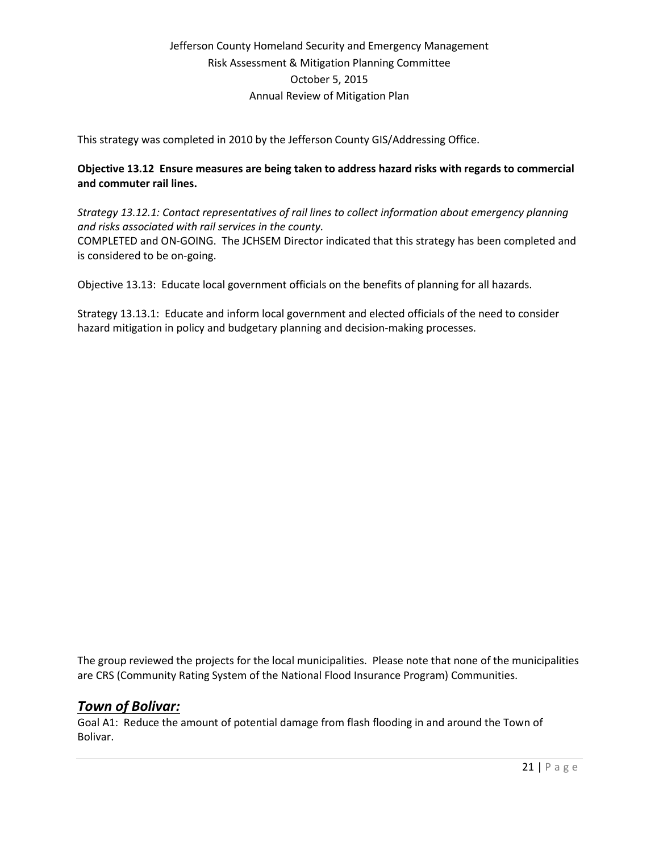This strategy was completed in 2010 by the Jefferson County GIS/Addressing Office.

### **Objective 13.12 Ensure measures are being taken to address hazard risks with regards to commercial and commuter rail lines.**

*Strategy 13.12.1: Contact representatives of rail lines to collect information about emergency planning and risks associated with rail services in the county.* COMPLETED and ON-GOING. The JCHSEM Director indicated that this strategy has been completed and is considered to be on-going.

Objective 13.13: Educate local government officials on the benefits of planning for all hazards.

Strategy 13.13.1: Educate and inform local government and elected officials of the need to consider hazard mitigation in policy and budgetary planning and decision-making processes.

The group reviewed the projects for the local municipalities. Please note that none of the municipalities are CRS (Community Rating System of the National Flood Insurance Program) Communities.

# *Town of Bolivar:*

Goal A1: Reduce the amount of potential damage from flash flooding in and around the Town of Bolivar.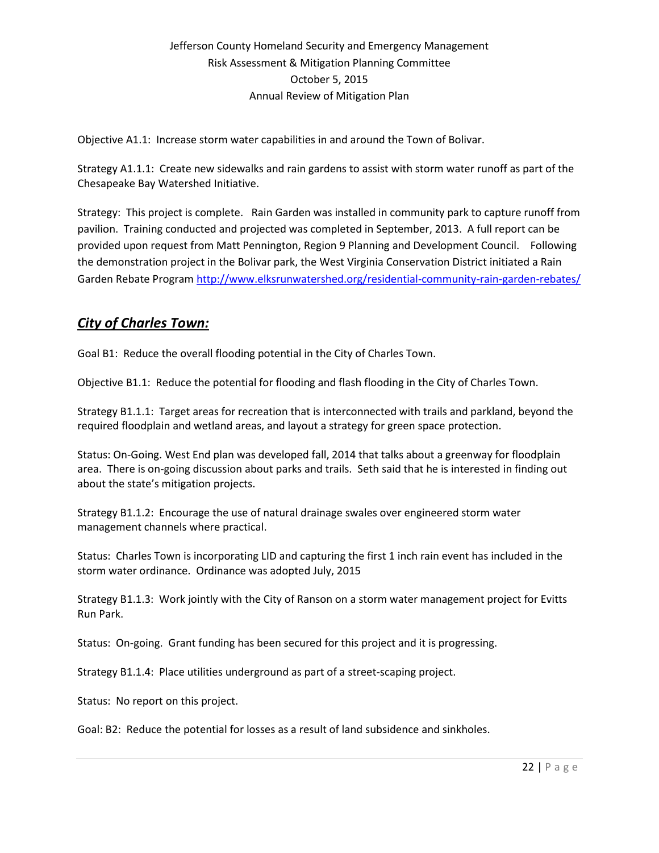Objective A1.1: Increase storm water capabilities in and around the Town of Bolivar.

Strategy A1.1.1: Create new sidewalks and rain gardens to assist with storm water runoff as part of the Chesapeake Bay Watershed Initiative.

Strategy: This project is complete. Rain Garden was installed in community park to capture runoff from pavilion. Training conducted and projected was completed in September, 2013. A full report can be provided upon request from Matt Pennington, Region 9 Planning and Development Council. Following the demonstration project in the Bolivar park, the West Virginia Conservation District initiated a Rain Garden Rebate Progra[m http://www.elksrunwatershed.org/residential-community-rain-garden-rebates/](http://www.elksrunwatershed.org/residential-community-rain-garden-rebates/)

# *City of Charles Town:*

Goal B1: Reduce the overall flooding potential in the City of Charles Town.

Objective B1.1: Reduce the potential for flooding and flash flooding in the City of Charles Town.

Strategy B1.1.1: Target areas for recreation that is interconnected with trails and parkland, beyond the required floodplain and wetland areas, and layout a strategy for green space protection.

Status: On-Going. West End plan was developed fall, 2014 that talks about a greenway for floodplain area. There is on-going discussion about parks and trails. Seth said that he is interested in finding out about the state's mitigation projects.

Strategy B1.1.2: Encourage the use of natural drainage swales over engineered storm water management channels where practical.

Status: Charles Town is incorporating LID and capturing the first 1 inch rain event has included in the storm water ordinance. Ordinance was adopted July, 2015

Strategy B1.1.3: Work jointly with the City of Ranson on a storm water management project for Evitts Run Park.

Status: On-going. Grant funding has been secured for this project and it is progressing.

Strategy B1.1.4: Place utilities underground as part of a street-scaping project.

Status: No report on this project.

Goal: B2: Reduce the potential for losses as a result of land subsidence and sinkholes.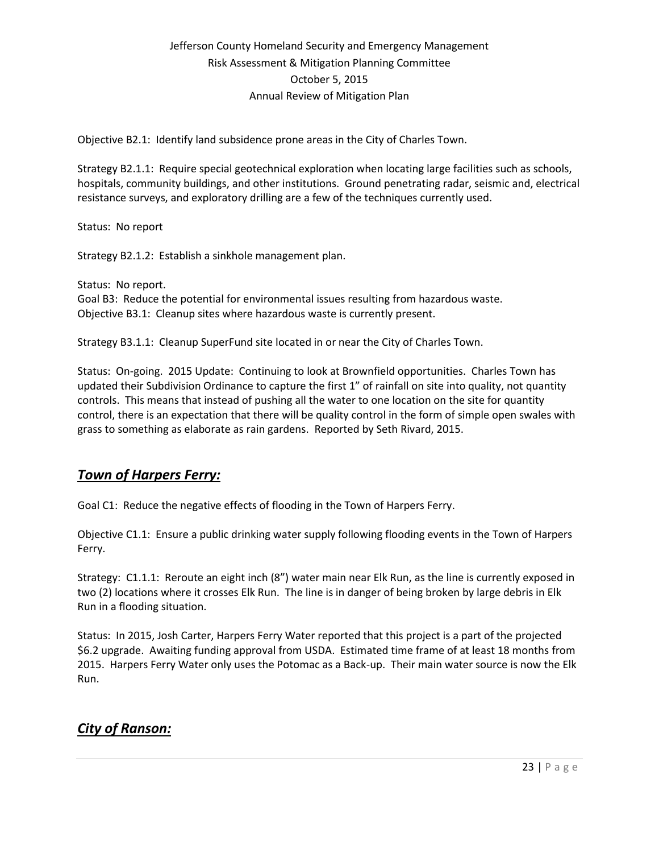Objective B2.1: Identify land subsidence prone areas in the City of Charles Town.

Strategy B2.1.1: Require special geotechnical exploration when locating large facilities such as schools, hospitals, community buildings, and other institutions. Ground penetrating radar, seismic and, electrical resistance surveys, and exploratory drilling are a few of the techniques currently used.

Status: No report

Strategy B2.1.2: Establish a sinkhole management plan.

Status: No report. Goal B3: Reduce the potential for environmental issues resulting from hazardous waste. Objective B3.1: Cleanup sites where hazardous waste is currently present.

Strategy B3.1.1: Cleanup SuperFund site located in or near the City of Charles Town.

Status: On-going. 2015 Update: Continuing to look at Brownfield opportunities. Charles Town has updated their Subdivision Ordinance to capture the first 1" of rainfall on site into quality, not quantity controls. This means that instead of pushing all the water to one location on the site for quantity control, there is an expectation that there will be quality control in the form of simple open swales with grass to something as elaborate as rain gardens. Reported by Seth Rivard, 2015.

# *Town of Harpers Ferry:*

Goal C1: Reduce the negative effects of flooding in the Town of Harpers Ferry.

Objective C1.1: Ensure a public drinking water supply following flooding events in the Town of Harpers Ferry.

Strategy: C1.1.1: Reroute an eight inch (8") water main near Elk Run, as the line is currently exposed in two (2) locations where it crosses Elk Run. The line is in danger of being broken by large debris in Elk Run in a flooding situation.

Status: In 2015, Josh Carter, Harpers Ferry Water reported that this project is a part of the projected \$6.2 upgrade. Awaiting funding approval from USDA. Estimated time frame of at least 18 months from 2015. Harpers Ferry Water only uses the Potomac as a Back-up. Their main water source is now the Elk Run.

# *City of Ranson:*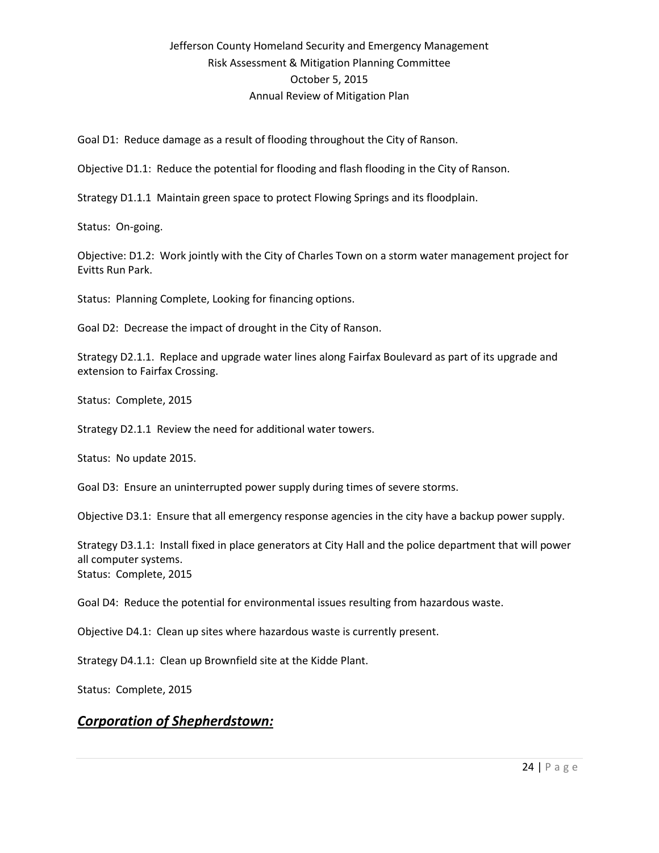Goal D1: Reduce damage as a result of flooding throughout the City of Ranson.

Objective D1.1: Reduce the potential for flooding and flash flooding in the City of Ranson.

Strategy D1.1.1 Maintain green space to protect Flowing Springs and its floodplain.

Status: On-going.

Objective: D1.2: Work jointly with the City of Charles Town on a storm water management project for Evitts Run Park.

Status: Planning Complete, Looking for financing options.

Goal D2: Decrease the impact of drought in the City of Ranson.

Strategy D2.1.1. Replace and upgrade water lines along Fairfax Boulevard as part of its upgrade and extension to Fairfax Crossing.

Status: Complete, 2015

Strategy D2.1.1 Review the need for additional water towers.

Status: No update 2015.

Goal D3: Ensure an uninterrupted power supply during times of severe storms.

Objective D3.1: Ensure that all emergency response agencies in the city have a backup power supply.

Strategy D3.1.1: Install fixed in place generators at City Hall and the police department that will power all computer systems. Status: Complete, 2015

Goal D4: Reduce the potential for environmental issues resulting from hazardous waste.

Objective D4.1: Clean up sites where hazardous waste is currently present.

Strategy D4.1.1: Clean up Brownfield site at the Kidde Plant.

Status: Complete, 2015

### *Corporation of Shepherdstown:*